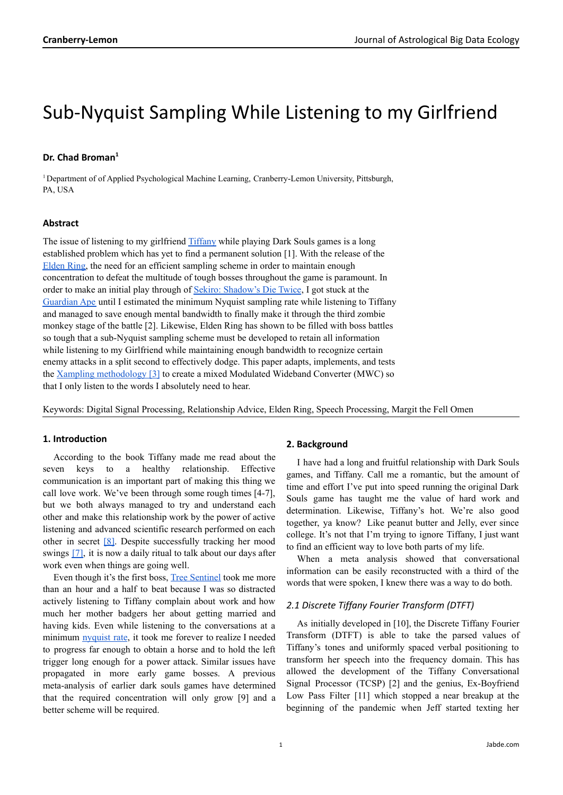# Sub-Nyquist Sampling While Listening to my Girlfriend

## **Dr. Chad Broman 1**

<sup>1</sup> Department of of Applied Psychological Machine Learning, Cranberry-Lemon University, Pittsburgh, PA, USA

## **Abstract**

The issue of listening to my girlfriend **[Tiffany](https://jabde.com/2022/01/04/stop-boyfriend-from-playing-the-witcher-3/)** while playing Dark Souls games is a long established problem which has yet to find a permanent solution [1]. With the release of the [Elden](https://en.wikipedia.org/wiki/Elden_Ring) Ring, the need for an efficient sampling scheme in order to maintain enough concentration to defeat the multitude of tough bosses throughout the game is paramount. In order to make an initial play through of Sekiro: [Shadow's](https://en.wikipedia.org/wiki/Sekiro:_Shadows_Die_Twice) Die Twice, I got stuck at the [Guardian](https://www.youtube.com/watch?v=NHKUPbUxOJU&t=83s) Ape until I estimated the minimum Nyquist sampling rate while listening to Tiffany and managed to save enough mental bandwidth to finally make it through the third zombie monkey stage of the battle [2]. Likewise, Elden Ring has shown to be filled with boss battles so tough that a sub-Nyquist sampling scheme must be developed to retain all information while listening to my Girlfriend while maintaining enough bandwidth to recognize certain enemy attacks in a split second to effectively dodge. This paper adapts, implements, and tests the Xampling [methodology](https://arxiv.org/pdf/0912.2495.pdf) [3] to create a mixed Modulated Wideband Converter (MWC) so that I only listen to the words I absolutely need to hear.

Keywords: Digital Signal Processing, Relationship Advice, Elden Ring, Speech Processing, Margit the Fell Omen

## **1. Introduction**

According to the book Tiffany made me read about the seven keys to a healthy relationship. Effective communication is an important part of making this thing we call love work. We've been through some rough times [4-7], but we both always managed to try and understand each other and make this relationship work by the power of active listening and advanced scientific research performed on each other in secret [\[8\]](https://jabde.com/2022/01/04/stop-boyfriend-from-playing-the-witcher-3/). Despite successfully tracking her mood swings [\[7\]](https://jabde.com/2021/05/23/girlfriends-mood-time-series-analysis/), it is now a daily ritual to talk about our days after work even when things are going well.

Even though it's the first boss, Tree [Sentinel](https://www.youtube.com/watch?v=T4hFN9PzJMU&t=377s) took me more than an hour and a half to beat because I was so distracted actively listening to Tiffany complain about work and how much her mother badgers her about getting married and having kids. Even while listening to the conversations at a minimum [nyquist](https://en.wikipedia.org/wiki/Nyquist_rate) rate, it took me forever to realize I needed to progress far enough to obtain a horse and to hold the left trigger long enough for a power attack. Similar issues have propagated in more early game bosses. A previous meta-analysis of earlier dark souls games have determined that the required concentration will only grow [9] and a better scheme will be required.

#### **2. Background**

I have had a long and fruitful relationship with Dark Souls games, and Tiffany. Call me a romantic, but the amount of time and effort I've put into speed running the original Dark Souls game has taught me the value of hard work and determination. Likewise, Tiffany's hot. We're also good together, ya know? Like peanut butter and Jelly, ever since college. It's not that I'm trying to ignore Tiffany, I just want to find an efficient way to love both parts of my life.

When a meta analysis showed that conversational information can be easily reconstructed with a third of the words that were spoken, I knew there was a way to do both.

### *2.1 Discrete Tiffany Fourier Transform (DTFT)*

As initially developed in [10], the Discrete Tiffany Fourier Transform (DTFT) is able to take the parsed values of Tiffany's tones and uniformly spaced verbal positioning to transform her speech into the frequency domain. This has allowed the development of the Tiffany Conversational Signal Processor (TCSP) [2] and the genius, Ex-Boyfriend Low Pass Filter [11] which stopped a near breakup at the beginning of the pandemic when Jeff started texting her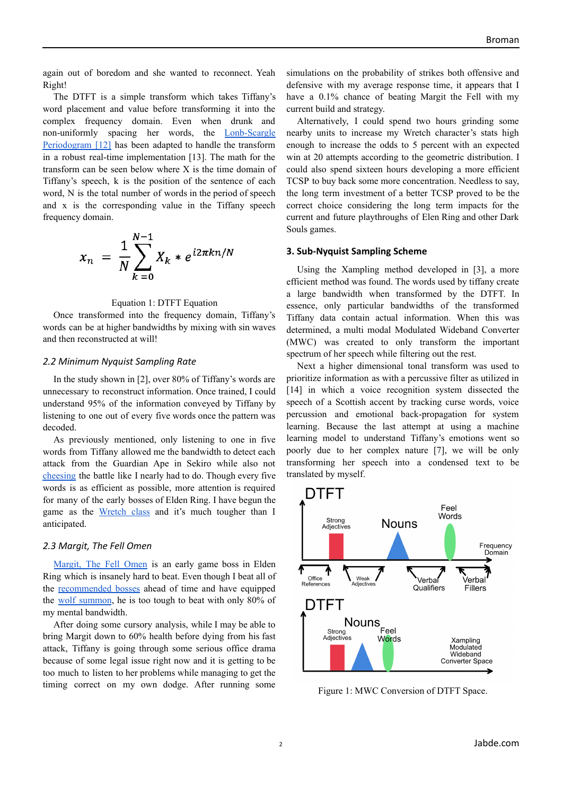again out of boredom and she wanted to reconnect. Yeah Right!

The DTFT is a simple transform which takes Tiffany's word placement and value before transforming it into the complex frequency domain. Even when drunk and non-uniformly spacing her words, the [Lonb-Scargle](https://arxiv.org/pdf/1703.09824.pdf) [Periodogram](https://arxiv.org/pdf/1703.09824.pdf) [12] has been adapted to handle the transform in a robust real-time implementation [13]. The math for the transform can be seen below where X is the time domain of Tiffany's speech, k is the position of the sentence of each word, N is the total number of words in the period of speech and x is the corresponding value in the Tiffany speech frequency domain.

$$
x_n = \frac{1}{N} \sum_{k=0}^{N-1} X_k * e^{i2\pi kn/N}
$$

#### Equation 1: DTFT Equation

Once transformed into the frequency domain, Tiffany's words can be at higher bandwidths by mixing with sin waves and then reconstructed at will!

#### *2.2 Minimum Nyquist Sampling Rate*

In the study shown in [2], over 80% of Tiffany's words are unnecessary to reconstruct information. Once trained, I could understand 95% of the information conveyed by Tiffany by listening to one out of every five words once the pattern was decoded.

As previously mentioned, only listening to one in five words from Tiffany allowed me the bandwidth to detect each attack from the Guardian Ape in Sekiro while also not [cheesing](https://www.dictionary.com/browse/cheesing#:~:text=verb%20(used%20with%20object)%2C,and%20attacking%20without%20taking%20damage.) the battle like I nearly had to do. Though every five words is as efficient as possible, more attention is required for many of the early bosses of Elden Ring. I have begun the game as the [Wretch](https://eldenring.wiki.fextralife.com/Wretch) class and it's much tougher than I anticipated.

## *2.3 Margit, The Fell Omen*

[Margit,](https://www.youtube.com/watch?v=jQhfP79H09g) The Fell Omen is an early game boss in Elden Ring which is insanely hard to beat. Even though I beat all of the [recommended](https://www.pcgamer.com/7-elden-ring-bosses-to-beat-before-margit-the-fell-omen/) bosses ahead of time and have equipped the wolf [summon](https://eldenring.wiki.fextralife.com/Lone+Wolf+Ashes), he is too tough to beat with only 80% of my mental bandwidth.

After doing some cursory analysis, while I may be able to bring Margit down to 60% health before dying from his fast attack, Tiffany is going through some serious office drama because of some legal issue right now and it is getting to be too much to listen to her problems while managing to get the timing correct on my own dodge. After running some simulations on the probability of strikes both offensive and defensive with my average response time, it appears that I have a 0.1% chance of beating Margit the Fell with my current build and strategy.

Alternatively, I could spend two hours grinding some nearby units to increase my Wretch character's stats high enough to increase the odds to 5 percent with an expected win at 20 attempts according to the geometric distribution. I could also spend sixteen hours developing a more efficient TCSP to buy back some more concentration. Needless to say, the long term investment of a better TCSP proved to be the correct choice considering the long term impacts for the current and future playthroughs of Elen Ring and other Dark Souls games.

#### **3. Sub-Nyquist Sampling Scheme**

Using the Xampling method developed in [3], a more efficient method was found. The words used by tiffany create a large bandwidth when transformed by the DTFT. In essence, only particular bandwidths of the transformed Tiffany data contain actual information. When this was determined, a multi modal Modulated Wideband Converter (MWC) was created to only transform the important spectrum of her speech while filtering out the rest.

Next a higher dimensional tonal transform was used to prioritize information as with a percussive filter as utilized in [14] in which a voice recognition system dissected the speech of a Scottish accent by tracking curse words, voice percussion and emotional back-propagation for system learning. Because the last attempt at using a machine learning model to understand Tiffany's emotions went so poorly due to her complex nature [7], we will be only transforming her speech into a condensed text to be translated by myself.



Figure 1: MWC Conversion of DTFT Space.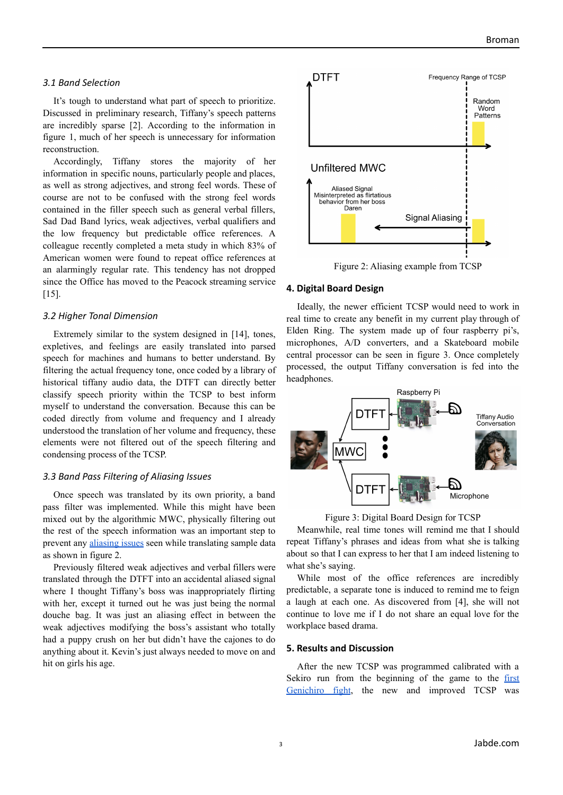## *3.1 Band Selection*

It's tough to understand what part of speech to prioritize. Discussed in preliminary research, Tiffany's speech patterns are incredibly sparse [2]. According to the information in figure 1, much of her speech is unnecessary for information reconstruction.

Accordingly, Tiffany stores the majority of her information in specific nouns, particularly people and places, as well as strong adjectives, and strong feel words. These of course are not to be confused with the strong feel words contained in the filler speech such as general verbal fillers, Sad Dad Band lyrics, weak adjectives, verbal qualifiers and the low frequency but predictable office references. A colleague recently completed a meta study in which 83% of American women were found to repeat office references at an alarmingly regular rate. This tendency has not dropped since the Office has moved to the Peacock streaming service [15].

## *3.2 Higher Tonal Dimension*

Extremely similar to the system designed in [14], tones, expletives, and feelings are easily translated into parsed speech for machines and humans to better understand. By filtering the actual frequency tone, once coded by a library of historical tiffany audio data, the DTFT can directly better classify speech priority within the TCSP to best inform myself to understand the conversation. Because this can be coded directly from volume and frequency and I already understood the translation of her volume and frequency, these elements were not filtered out of the speech filtering and condensing process of the TCSP.

#### *3.3 Band Pass Filtering of Aliasing Issues*

Once speech was translated by its own priority, a band pass filter was implemented. While this might have been mixed out by the algorithmic MWC, physically filtering out the rest of the speech information was an important step to prevent any [aliasing](https://www.youtube.com/watch?v=v7qjeUFxVwQ) issues seen while translating sample data as shown in figure 2.

Previously filtered weak adjectives and verbal fillers were translated through the DTFT into an accidental aliased signal where I thought Tiffany's boss was inappropriately flirting with her, except it turned out he was just being the normal douche bag. It was just an aliasing effect in between the weak adjectives modifying the boss's assistant who totally had a puppy crush on her but didn't have the cajones to do anything about it. Kevin's just always needed to move on and hit on girls his age.



# Figure 2: Aliasing example from TCSP

## **4. Digital Board Design**

Ideally, the newer efficient TCSP would need to work in real time to create any benefit in my current play through of Elden Ring. The system made up of four raspberry pi's, microphones, A/D converters, and a Skateboard mobile central processor can be seen in figure 3. Once completely processed, the output Tiffany conversation is fed into the headphones.



Figure 3: Digital Board Design for TCSP

Meanwhile, real time tones will remind me that I should repeat Tiffany's phrases and ideas from what she is talking about so that I can express to her that I am indeed listening to what she's saying.

While most of the office references are incredibly predictable, a separate tone is induced to remind me to feign a laugh at each one. As discovered from [4], she will not continue to love me if I do not share an equal love for the workplace based drama.

## **5. Results and Discussion**

After the new TCSP was programmed calibrated with a Sekiro run from the beginning of the game to the [first](https://www.youtube.com/watch?v=KUqrQNl-TvI) [Genichiro](https://www.youtube.com/watch?v=KUqrQNl-TvI) fight, the new and improved TCSP was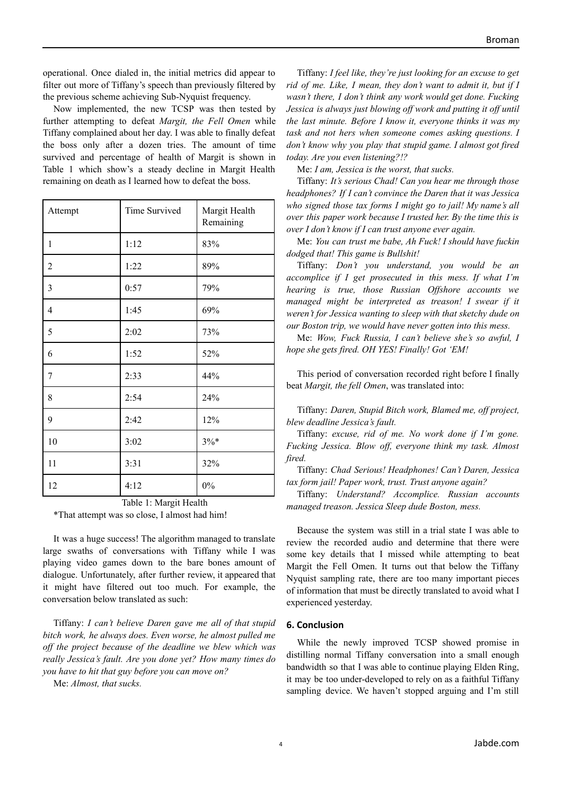operational. Once dialed in, the initial metrics did appear to filter out more of Tiffany's speech than previously filtered by the previous scheme achieving Sub-Nyquist frequency.

Now implemented, the new TCSP was then tested by further attempting to defeat *Margit, the Fell Omen* while Tiffany complained about her day. I was able to finally defeat the boss only after a dozen tries. The amount of time survived and percentage of health of Margit is shown in Table 1 which show's a steady decline in Margit Health remaining on death as I learned how to defeat the boss.

| Attempt          | Time Survived | Margit Health<br>Remaining |
|------------------|---------------|----------------------------|
| $\mathbf{1}$     | 1:12          | 83%                        |
| $\overline{2}$   | 1:22          | 89%                        |
| $\mathfrak{Z}$   | 0:57          | 79%                        |
| $\overline{4}$   | 1:45          | 69%                        |
| 5                | 2:02          | 73%                        |
| 6                | 1:52          | 52%                        |
| $\boldsymbol{7}$ | 2:33          | 44%                        |
| $\,$ 8 $\,$      | 2:54          | 24%                        |
| 9                | 2:42          | 12%                        |
| 10               | 3:02          | $3%$ *                     |
| 11               | 3:31          | 32%                        |
| 12               | 4:12          | $0\%$                      |

Table 1: Margit Health

\*That attempt was so close, I almost had him!

It was a huge success! The algorithm managed to translate large swaths of conversations with Tiffany while I was playing video games down to the bare bones amount of dialogue. Unfortunately, after further review, it appeared that it might have filtered out too much. For example, the conversation below translated as such:

Tiffany: *I can't believe Daren gave me all of that stupid bitch work, he always does. Even worse, he almost pulled me of the project because of the deadline we blew which was really Jessica's fault. Are you done yet? How many times do you have to hit that guy before you can move on?*

Me: *Almost, that sucks.*

Tiffany: *I feel like, they're just looking for an excuse to get rid of me. Like, I mean, they don't want to admit it, but if I wasn't there, I don't think any work would get done. Fucking Jessica is always just blowing of work and putting it of until the last minute. Before I know it, everyone thinks it was my task and not hers when someone comes asking questions. I don't know why you play that stupid game. I almost got fired today. Are you even listening?!?*

Me: *I am, Jessica is the worst, that sucks.*

Tiffany: *It's serious Chad! Can you hear me through those headphones? If I can't convince the Daren that it was Jessica who signed those tax forms I might go to jail! My name's all over this paper work because I trusted her. By the time this is over I don't know if I can trust anyone ever again.*

Me: *You can trust me babe, Ah Fuck! I should have fuckin dodged that! This game is Bullshit!*

Tiffany: *Don't you understand, you would be an accomplice if I get prosecuted in this mess. If what I'm hearing is true, those Russian Of shore accounts we managed might be interpreted as treason! I swear if it weren't for Jessica wanting to sleep with that sketchy dude on our Boston trip, we would have never gotten into this mess.*

Me: *Wow, Fuck Russia, I can't believe she's so awful, I hope she gets fired. OH YES! Finally! Got 'EM!*

This period of conversation recorded right before I finally beat *Margit, the fell Omen*, was translated into:

Tiffany: *Daren, Stupid Bitch work, Blamed me, of project, blew deadline Jessica's fault.*

Tiffany: *excuse, rid of me. No work done if I'm gone. Fucking Jessica. Blow of , everyone think my task. Almost fired.*

Tiffany: *Chad Serious! Headphones! Can't Daren, Jessica tax form jail! Paper work, trust. Trust anyone again?*

Tiffany: *Understand? Accomplice. Russian accounts managed treason. Jessica Sleep dude Boston, mess.*

Because the system was still in a trial state I was able to review the recorded audio and determine that there were some key details that I missed while attempting to beat Margit the Fell Omen. It turns out that below the Tiffany Nyquist sampling rate, there are too many important pieces of information that must be directly translated to avoid what I experienced yesterday.

## **6. Conclusion**

While the newly improved TCSP showed promise in distilling normal Tiffany conversation into a small enough bandwidth so that I was able to continue playing Elden Ring, it may be too under-developed to rely on as a faithful Tiffany sampling device. We haven't stopped arguing and I'm still